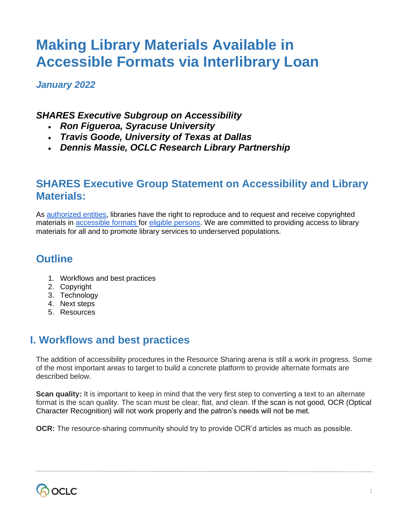# **Making Library Materials Available in Accessible Formats via Interlibrary Loan**

*January 2022*

### *SHARES Executive Subgroup on Accessibility*

- *Ron Figueroa, Syracuse University*
- *Travis Goode, University of Texas at Dallas*
- *Dennis Massie, OCLC Research Library Partnership*

## **SHARES Executive Group Statement on Accessibility and Library Materials:**

As [authorized entities,](https://docs.google.com/document/d/1PB3ZOwXmYfx4HJv6vI2wJkPIM5jZU-YdIRXejv2IHiQ/edit#bookmark=id.k3rni02pnsek) libraries have the right to reproduce and to request and receive copyrighted materials in **accessible formats for eligible persons**. We are committed to providing access to library materials for all and to promote library services to underserved populations.

## **Outline**

- 1. Workflows and best practices
- 2. Copyright
- 3. Technology
- 4. Next steps
- 5. Resources

## **I. Workflows and best practices**

The addition of accessibility procedures in the Resource Sharing arena is still a work in progress. Some of the most important areas to target to build a concrete platform to provide alternate formats are described below.

**Scan quality:** It is important to keep in mind that the very first step to converting a text to an alternate format is the scan quality. The scan must be clear, flat, and clean. If the scan is not good, OCR (Optical Character Recognition) will not work properly and the patron's needs will not be met.

**OCR:** The resource-sharing community should try to provide OCR'd articles as much as possible.

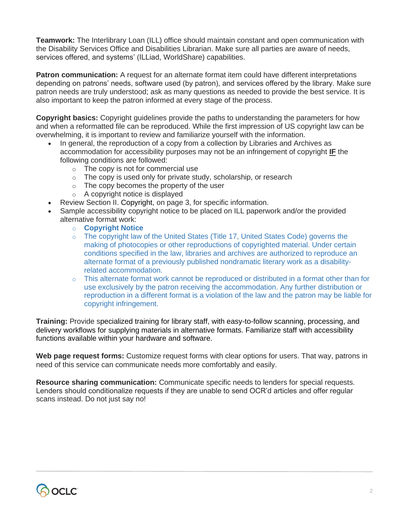**Teamwork:** The Interlibrary Loan (ILL) office should maintain constant and open communication with the Disability Services Office and Disabilities Librarian. Make sure all parties are aware of needs, services offered, and systems' (ILLiad, WorldShare) capabilities.

**Patron communication:** A request for an alternate format item could have different interpretations depending on patrons' needs, software used (by patron), and services offered by the library. Make sure patron needs are truly understood; ask as many questions as needed to provide the best service. It is also important to keep the patron informed at every stage of the process.

**Copyright basics:** Copyright guidelines provide the paths to understanding the parameters for how and when a reformatted file can be reproduced. While the first impression of US copyright law can be overwhelming, it is important to review and familiarize yourself with the information.

- In general, the reproduction of a copy from a collection by Libraries and Archives as accommodation for accessibility purposes may not be an infringement of copyright **IF** the following conditions are followed:
	- o The copy is not for commercial use
	- $\circ$  The copy is used only for private study, scholarship, or research
	- $\circ$  The copy becomes the property of the user
	- o A copyright notice is displayed
- Review Section II. Copyright, on page 3, for specific information.
- Sample accessibility copyright notice to be placed on ILL paperwork and/or the provided alternative format work:
	- o **Copyright Notice**
	- $\circ$  The copyright law of the United States (Title 17, United States Code) governs the making of photocopies or other reproductions of copyrighted material. Under certain conditions specified in the law, libraries and archives are authorized to reproduce an alternate format of a previously published nondramatic literary work as a disabilityrelated accommodation.
	- $\circ$  This alternate format work cannot be reproduced or distributed in a format other than for use exclusively by the patron receiving the accommodation. Any further distribution or reproduction in a different format is a violation of the law and the patron may be liable for copyright infringement.

**Training:** Provide specialized training for library staff, with easy-to-follow scanning, processing, and delivery workflows for supplying materials in alternative formats. Familiarize staff with accessibility functions available within your hardware and software.

**Web page request forms:** Customize request forms with clear options for users. That way, patrons in need of this service can communicate needs more comfortably and easily.

**Resource sharing communication:** Communicate specific needs to lenders for special requests. Lenders should conditionalize requests if they are unable to send OCR'd articles and offer regular scans instead. Do not just say no!

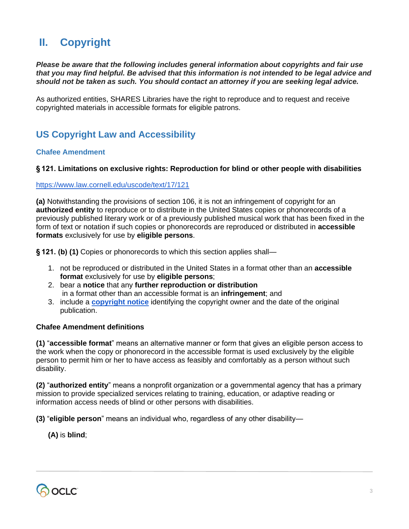## **II. Copyright**

*Please be aware that the following includes general information about copyrights and fair use that you may find helpful. Be advised that this information is not intended to be legal advice and should not be taken as such. You should contact an attorney if you are seeking legal advice.*

As authorized entities, SHARES Libraries have the right to reproduce and to request and receive copyrighted materials in accessible formats for eligible patrons.

## **US Copyright Law and Accessibility**

#### **Chafee Amendment**

#### **§ 121. Limitations on exclusive rights: Reproduction for blind or other people with disabilities**

#### <https://www.law.cornell.edu/uscode/text/17/121>

**(a)** Notwithstanding the provisions of section 106, it is not an infringement of copyright for an **authorized entity** to reproduce or to distribute in the United States copies or phonorecords of a previously published literary work or of a previously published musical work that has been fixed in the form of text or notation if such copies or phonorecords are reproduced or distributed in **accessible formats** exclusively for use by **eligible persons**.

**§ 121. (b) (1)** Copies or phonorecords to which this section applies shall—

- 1. not be reproduced or distributed in the United States in a format other than an **accessible format** exclusively for use by **eligible persons**;
- 2. bear a **notice** that any **further reproduction or distribution** in a format other than an accessible format is an **infringement**; and
- 3. include a **[copyright notice](https://docs.google.com/document/d/1PB3ZOwXmYfx4HJv6vI2wJkPIM5jZU-YdIRXejv2IHiQ/edit#bookmark=id.sjtv139w9jke)** identifying the copyright owner and the date of the original publication.

#### **Chafee Amendment definitions**

**(1)** "**accessible format**" means an alternative manner or form that gives an eligible person access to the work when the copy or phonorecord in the accessible format is used exclusively by the eligible person to permit him or her to have access as feasibly and comfortably as a person without such disability.

**(2)** "**authorized entity**" means a nonprofit organization or a governmental agency that has a primary mission to provide specialized services relating to training, education, or adaptive reading or information access needs of blind or other persons with disabilities.

**(3)** "**eligible person**" means an individual who, regardless of any other disability—

**(A)** is **blind**;

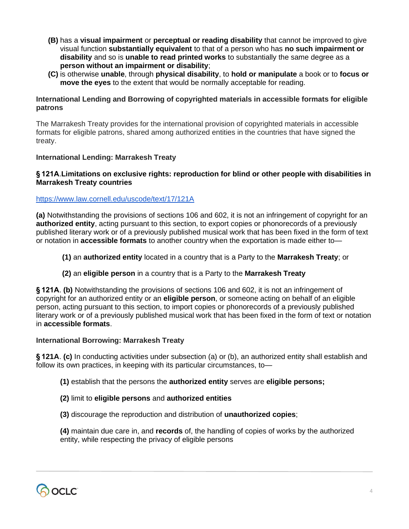- **(B)** has a **visual impairment** or **perceptual or reading disability** that cannot be improved to give visual function **substantially equivalent** to that of a person who has **no such impairment or disability** and so is **unable to read printed works** to substantially the same degree as a **person without an impairment or disability**;
- **(C)** is otherwise **unable**, through **physical disability**, to **hold or manipulate** a book or to **focus or move the eyes** to the extent that would be normally acceptable for reading.

#### **International Lending and Borrowing of copyrighted materials in accessible formats for eligible patrons**

The Marrakesh Treaty provides for the international provision of copyrighted materials in accessible formats for eligible patrons, shared among authorized entities in the countries that have signed the treaty.

#### **International Lending: Marrakesh Treaty**

#### **§ 121A**.**Limitations on exclusive rights: reproduction for blind or other people with disabilities in Marrakesh Treaty countries**

#### <https://www.law.cornell.edu/uscode/text/17/121A>

**(a)** Notwithstanding the provisions of sections 106 and 602, it is not an infringement of copyright for an **authorized entity**, acting pursuant to this section, to export copies or phonorecords of a previously published literary work or of a previously published musical work that has been fixed in the form of text or notation in **accessible formats** to another country when the exportation is made either to—

**(1)** an **authorized entity** located in a country that is a Party to the **Marrakesh Treaty**; or

#### **(2)** an **eligible person** in a country that is a Party to the **Marrakesh Treaty**

**§ 121A**. **(b)** Notwithstanding the provisions of sections 106 and 602, it is not an infringement of copyright for an authorized entity or an **eligible person**, or someone acting on behalf of an eligible person, acting pursuant to this section, to import copies or phonorecords of a previously published literary work or of a previously published musical work that has been fixed in the form of text or notation in **accessible formats**.

#### **International Borrowing: Marrakesh Treaty**

**§ 121A**. **(c)** In conducting activities under subsection (a) or (b), an authorized entity shall establish and follow its own practices, in keeping with its particular circumstances, to—

**(1)** establish that the persons the **authorized entity** serves are **eligible persons;**

#### **(2)** limit to **eligible persons** and **authorized entities**

**(3)** discourage the reproduction and distribution of **unauthorized copies**;

**(4)** maintain due care in, and **records** of, the handling of copies of works by the authorized entity, while respecting the privacy of eligible persons

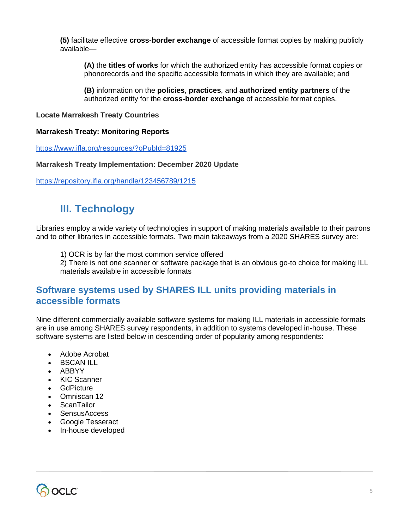**(5)** facilitate effective **cross-border exchange** of accessible format copies by making publicly available—

**(A)** the **titles of works** for which the authorized entity has accessible format copies or phonorecords and the specific accessible formats in which they are available; and

**(B)** information on the **policies**, **practices**, and **authorized entity partners** of the authorized entity for the **cross-border exchange** of accessible format copies.

#### **Locate Marrakesh Treaty Countries**

#### **Marrakesh Treaty: Monitoring Reports**

<https://www.ifla.org/resources/?oPubId=81925>

#### **Marrakesh Treaty Implementation: December 2020 Update**

<https://repository.ifla.org/handle/123456789/1215>

## **III. Technology**

Libraries employ a wide variety of technologies in support of making materials available to their patrons and to other libraries in accessible formats. Two main takeaways from a 2020 SHARES survey are:

1) OCR is by far the most common service offered

2) There is not one scanner or software package that is an obvious go-to choice for making ILL materials available in accessible formats

### **Software systems used by SHARES ILL units providing materials in accessible formats**

Nine different commercially available software systems for making ILL materials in accessible formats are in use among SHARES survey respondents, in addition to systems developed in-house. These software systems are listed below in descending order of popularity among respondents:

- Adobe Acrobat
- BSCAN ILL
- ABBYY
- KIC Scanner
- **GdPicture**
- Omniscan 12
- ScanTailor
- SensusAccess
- Google Tesseract
- In-house developed

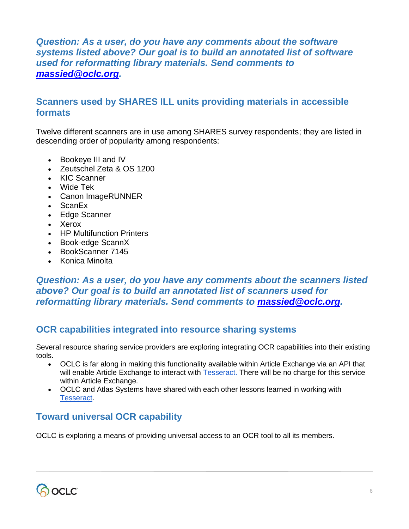### *Question: As a user, do you have any comments about the software systems listed above? Our goal is to build an annotated list of software used for reformatting library materials. Send comments to [massied@oclc.org.](mailto:massied@oclc.org)*

### **Scanners used by SHARES ILL units providing materials in accessible formats**

Twelve different scanners are in use among SHARES survey respondents; they are listed in descending order of popularity among respondents:

- Bookeye III and IV
- Zeutschel Zeta & OS 1200
- KIC Scanner
- Wide Tek
- Canon ImageRUNNER
- ScanEx
- Edge Scanner
- Xerox
- HP Multifunction Printers
- Book-edge ScannX
- BookScanner 7145
- Konica Minolta

### *Question: As a user, do you have any comments about the scanners listed above? Our goal is to build an annotated list of scanners used for reformatting library materials. Send comments to [massied@oclc.org.](mailto:massied@oclc.org)*

### **OCR capabilities integrated into resource sharing systems**

Several resource sharing service providers are exploring integrating OCR capabilities into their existing tools.

- OCLC is far along in making this functionality available within Article Exchange via an API that will enable Article Exchange to interact with [Tesseract.](https://en.wikipedia.org/wiki/Tesseract_(software)) There will be no charge for this service within Article Exchange.
- OCLC and Atlas Systems have shared with each other lessons learned in working with [Tesseract.](https://en.wikipedia.org/wiki/Tesseract_(software))

## **Toward universal OCR capability**

OCLC is exploring a means of providing universal access to an OCR tool to all its members.

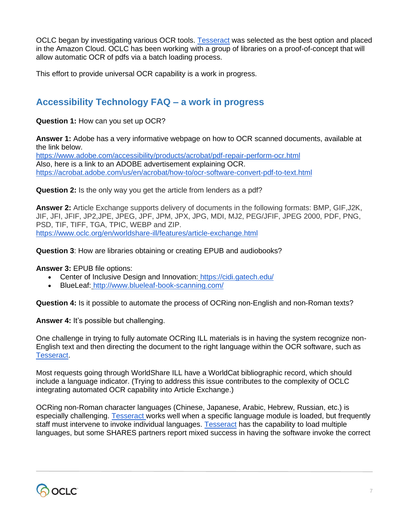OCLC began by investigating various OCR tools. **Tesseract** was selected as the best option and placed in the Amazon Cloud. OCLC has been working with a group of libraries on a proof-of-concept that will allow automatic OCR of pdfs via a batch loading process.

This effort to provide universal OCR capability is a work in progress.

### **Accessibility Technology FAQ – a work in progress**

**Question 1:** How can you set up OCR?

**Answer 1:** Adobe has a very informative webpage on how to OCR scanned documents, available at the link below.

<https://www.adobe.com/accessibility/products/acrobat/pdf-repair-perform-ocr.html> Also, here is a link to an ADOBE advertisement explaining OCR. [https://acrobat.adobe.com/us/en/acrobat/how-to/ocr-software-convert-pdf-to-text.html](https://protect-us.mimecast.com/s/08udC9rj7DFRjRMAUE0IXv?domain=acrobat.adobe.com)

**Question 2:** Is the only way you get the article from lenders as a pdf?

**Answer 2:** Article Exchange supports delivery of documents in the following formats: BMP, GIF,J2K, JIF, JFI, JFIF, JP2,JPE, JPEG, JPF, JPM, JPX, JPG, MDI, MJ2, PEG/JFIF, JPEG 2000, PDF, PNG, PSD, TIF, TIFF, TGA, TPIC, WEBP and ZIP. [https://www.oclc.org/en/worldshare-ill/features/article-exchange.html](https://protect-us.mimecast.com/s/33eIC0RMy0IJzJMQs2XQny?domain=oclc.org)

**Question 3**: How are libraries obtaining or creating EPUB and audiobooks?

**Answer 3:** EPUB file options:

- Center of Inclusive Design and Innovation[:](https://protect-us.mimecast.com/s/6-adCgJyVnuPVPBouNfIWN?domain=cidi.gatech.edu/) <https://cidi.gatech.edu/>
- BlueLeaf: [http://www.blueleaf-book-scanning.com/](https://protect-us.mimecast.com/s/gdb_CjRBV0IlplOBHRMmm1?domain=blueleaf-book-scanning.com/)

**Question 4:** Is it possible to automate the process of OCRing non-English and non-Roman texts?

**Answer 4:** It's possible but challenging.

One challenge in trying to fully automate OCRing ILL materials is in having the system recognize non-English text and then directing the document to the right language within the OCR software, such as [Tesseract.](https://en.wikipedia.org/wiki/Tesseract_(software))

Most requests going through WorldShare ILL have a WorldCat bibliographic record, which should include a language indicator. (Trying to address this issue contributes to the complexity of OCLC integrating automated OCR capability into Article Exchange.)

OCRing non-Roman character languages (Chinese, Japanese, Arabic, Hebrew, Russian, etc.) is especially challenging. [Tesseract w](https://en.wikipedia.org/wiki/Tesseract_(software))orks well when a specific language module is loaded, but frequently staff must intervene to invoke individual languages. [Tesseract](https://en.wikipedia.org/wiki/Tesseract_(software)) has the capability to load multiple languages, but some SHARES partners report mixed success in having the software invoke the correct

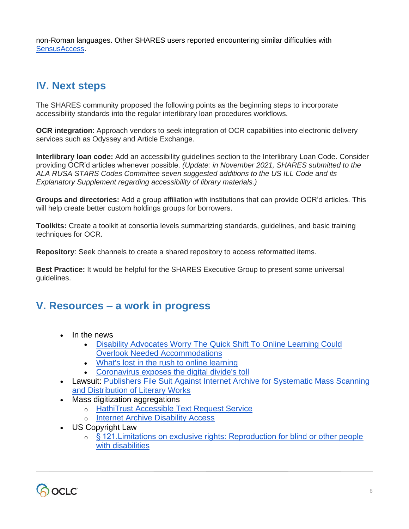non-Roman languages. Other SHARES users reported encountering similar difficulties with [SensusAccess.](https://www.sensusaccess.com/)

## **IV. Next steps**

The SHARES community proposed the following points as the beginning steps to incorporate accessibility standards into the regular interlibrary loan procedures workflows.

**OCR integration**: Approach vendors to seek integration of OCR capabilities into electronic delivery services such as Odyssey and Article Exchange.

**Interlibrary loan code:** Add an accessibility guidelines section to the Interlibrary Loan Code. Consider providing OCR'd articles whenever possible. *(Update: in November 2021, SHARES submitted to the ALA RUSA STARS Codes Committee seven suggested additions to the US ILL Code and its Explanatory Supplement regarding accessibility of library materials.)*

**Groups and directories:** Add a group affiliation with institutions that can provide OCR'd articles. This will help create better custom holdings groups for borrowers.

**Toolkits:** Create a toolkit at consortia levels summarizing standards, guidelines, and basic training techniques for OCR.

**Repository**: Seek channels to create a shared repository to access reformatted items.

**Best Practice:** It would be helpful for the SHARES Executive Group to present some universal guidelines.

## **V. Resources – a work in progress**

- In the news
	- Disability Advocates Worry The [Quick Shift To Online Learning Could](https://www.wbur.org/edify/2020/03/26/online-learning-accommodations)  [Overlook Needed Accommodations](https://www.wbur.org/edify/2020/03/26/online-learning-accommodations)
	- [What's lost in the rush to online learning](https://www.cnn.com/2020/03/31/opinions/rush-to-online-learning-k-12-mistake-coronavirus-perry/index.html)
	- [Coronavirus exposes the digital divide's toll](https://www.axios.com/coronavirus-exposes-the-digital-divides-toll-7c270aab-82e4-4719-840f-fc06e2b9083c.html)
- Lawsuit: [Publishers File Suit Against Internet Archive for Systematic Mass Scanning](https://publishers.org/news/publishers-file-suit-against-internet-archive-for-systematic-mass-scanning-and-distribution-of-literary-works/)  [and Distribution of Literary Works](https://publishers.org/news/publishers-file-suit-against-internet-archive-for-systematic-mass-scanning-and-distribution-of-literary-works/)
- Mass digitization aggregations
	- o [HathiTrust Accessible Text Request Service](https://www.hathitrust.org/accessible-texts)
	- o **[Internet Archive Disability Access](https://help.archive.org/hc/en-us/articles/360026244752-Disability-Access-General-Information)**
- US Copyright Law
	- o § 121. Limitations on exclusive rights: Reproduction for blind or other people [with disabilities](https://www.law.cornell.edu/uscode/text/17/121)